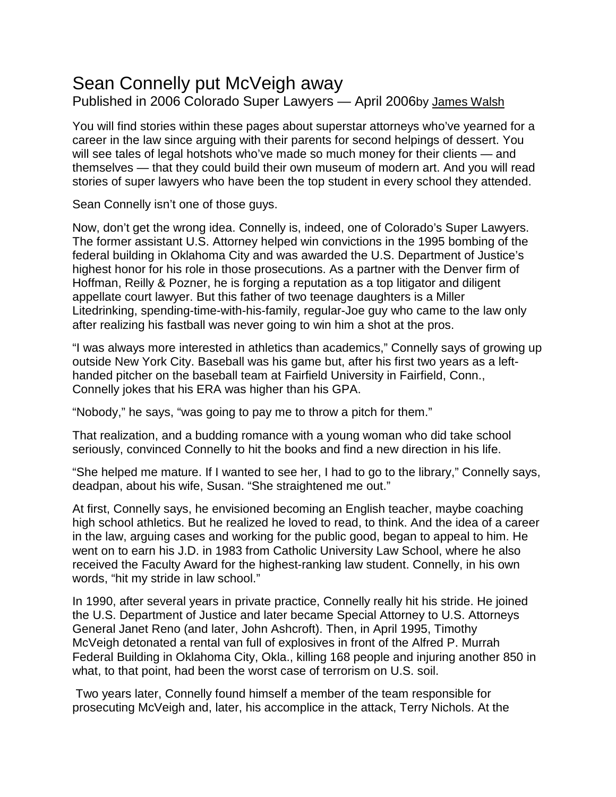## Sean Connelly put McVeigh away

Published in 2006 Colorado Super Lawyers — April 2006by [James](https://www.superlawyers.com/articles/writer/james-walsh/49216b3acdd9899ea57cd8bf32fb1c9c.html) Walsh

You will find stories within these pages about superstar attorneys who've yearned for a career in the law since arguing with their parents for second helpings of dessert. You will see tales of legal hotshots who've made so much money for their clients — and themselves — that they could build their own museum of modern art. And you will read stories of super lawyers who have been the top student in every school they attended.

Sean Connelly isn't one of those guys.

Now, don't get the wrong idea. Connelly is, indeed, one of Colorado's Super Lawyers. The former assistant U.S. Attorney helped win convictions in the 1995 bombing of the federal building in Oklahoma City and was awarded the U.S. Department of Justice's highest honor for his role in those prosecutions. As a partner with the Denver firm of Hoffman, Reilly & Pozner, he is forging a reputation as a top litigator and diligent appellate court lawyer. But this father of two teenage daughters is a Miller Litedrinking, spending-time-with-his-family, regular-Joe guy who came to the law only after realizing his fastball was never going to win him a shot at the pros.

"I was always more interested in athletics than academics," Connelly says of growing up outside New York City. Baseball was his game but, after his first two years as a lefthanded pitcher on the baseball team at Fairfield University in Fairfield, Conn., Connelly jokes that his ERA was higher than his GPA.

"Nobody," he says, "was going to pay me to throw a pitch for them."

That realization, and a budding romance with a young woman who did take school seriously, convinced Connelly to hit the books and find a new direction in his life.

"She helped me mature. If I wanted to see her, I had to go to the library," Connelly says, deadpan, about his wife, Susan. "She straightened me out."

At first, Connelly says, he envisioned becoming an English teacher, maybe coaching high school athletics. But he realized he loved to read, to think. And the idea of a career in the law, arguing cases and working for the public good, began to appeal to him. He went on to earn his J.D. in 1983 from Catholic University Law School, where he also received the Faculty Award for the highest-ranking law student. Connelly, in his own words, "hit my stride in law school."

In 1990, after several years in private practice, Connelly really hit his stride. He joined the U.S. Department of Justice and later became Special Attorney to U.S. Attorneys General Janet Reno (and later, John Ashcroft). Then, in April 1995, Timothy McVeigh detonated a rental van full of explosives in front of the Alfred P. Murrah Federal Building in Oklahoma City, Okla., killing 168 people and injuring another 850 in what, to that point, had been the worst case of terrorism on U.S. soil.

Two years later, Connelly found himself a member of the team responsible for prosecuting McVeigh and, later, his accomplice in the attack, Terry Nichols. At the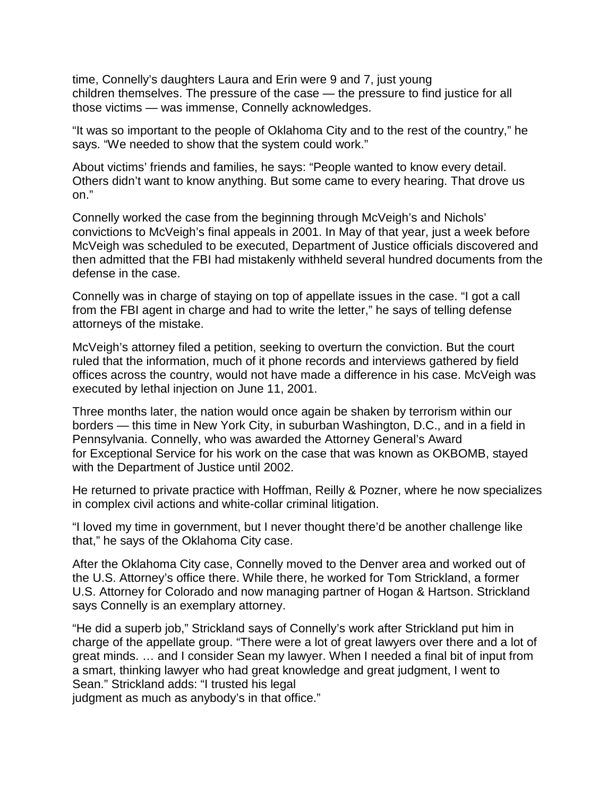time, Connelly's daughters Laura and Erin were 9 and 7, just young children themselves. The pressure of the case — the pressure to find justice for all those victims — was immense, Connelly acknowledges.

"It was so important to the people of Oklahoma City and to the rest of the country," he says. "We needed to show that the system could work."

About victims' friends and families, he says: "People wanted to know every detail. Others didn't want to know anything. But some came to every hearing. That drove us on."

Connelly worked the case from the beginning through McVeigh's and Nichols' convictions to McVeigh's final appeals in 2001. In May of that year, just a week before McVeigh was scheduled to be executed, Department of Justice officials discovered and then admitted that the FBI had mistakenly withheld several hundred documents from the defense in the case.

Connelly was in charge of staying on top of appellate issues in the case. "I got a call from the FBI agent in charge and had to write the letter," he says of telling defense attorneys of the mistake.

McVeigh's attorney filed a petition, seeking to overturn the conviction. But the court ruled that the information, much of it phone records and interviews gathered by field offices across the country, would not have made a difference in his case. McVeigh was executed by lethal injection on June 11, 2001.

Three months later, the nation would once again be shaken by terrorism within our borders — this time in New York City, in suburban Washington, D.C., and in a field in Pennsylvania. Connelly, who was awarded the Attorney General's Award for Exceptional Service for his work on the case that was known as OKBOMB, stayed with the Department of Justice until 2002.

He returned to private practice with Hoffman, Reilly & Pozner, where he now specializes in complex civil actions and white-collar criminal litigation.

"I loved my time in government, but I never thought there'd be another challenge like that," he says of the Oklahoma City case.

After the Oklahoma City case, Connelly moved to the Denver area and worked out of the U.S. Attorney's office there. While there, he worked for Tom Strickland, a former U.S. Attorney for Colorado and now managing partner of Hogan & Hartson. Strickland says Connelly is an exemplary attorney.

"He did a superb job," Strickland says of Connelly's work after Strickland put him in charge of the appellate group. "There were a lot of great lawyers over there and a lot of great minds. … and I consider Sean my lawyer. When I needed a final bit of input from a smart, thinking lawyer who had great knowledge and great judgment, I went to Sean." Strickland adds: "I trusted his legal

judgment as much as anybody's in that office."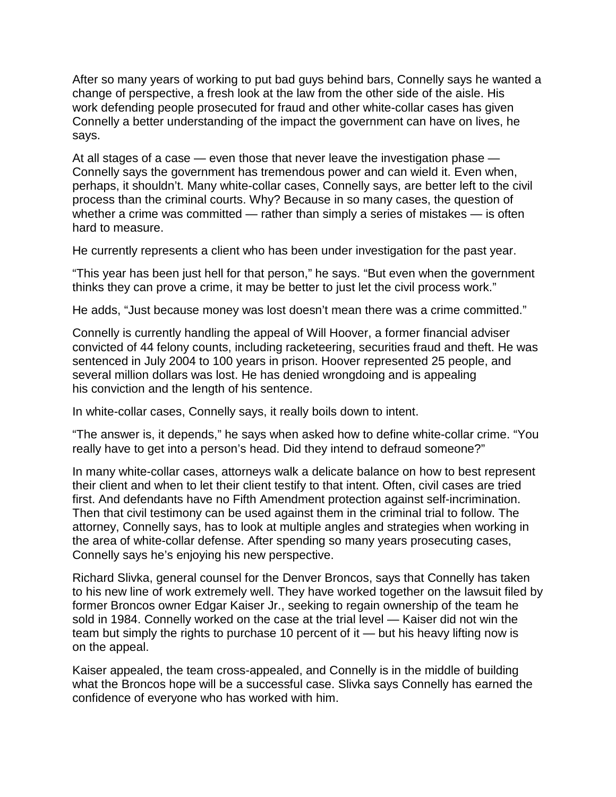After so many years of working to put bad guys behind bars, Connelly says he wanted a change of perspective, a fresh look at the law from the other side of the aisle. His work defending people prosecuted for fraud and other white-collar cases has given Connelly a better understanding of the impact the government can have on lives, he says.

At all stages of a case — even those that never leave the investigation phase — Connelly says the government has tremendous power and can wield it. Even when, perhaps, it shouldn't. Many white-collar cases, Connelly says, are better left to the civil process than the criminal courts. Why? Because in so many cases, the question of whether a crime was committed — rather than simply a series of mistakes — is often hard to measure.

He currently represents a client who has been under investigation for the past year.

"This year has been just hell for that person," he says. "But even when the government thinks they can prove a crime, it may be better to just let the civil process work."

He adds, "Just because money was lost doesn't mean there was a crime committed."

Connelly is currently handling the appeal of Will Hoover, a former financial adviser convicted of 44 felony counts, including racketeering, securities fraud and theft. He was sentenced in July 2004 to 100 years in prison. Hoover represented 25 people, and several million dollars was lost. He has denied wrongdoing and is appealing his conviction and the length of his sentence.

In white-collar cases, Connelly says, it really boils down to intent.

"The answer is, it depends," he says when asked how to define white-collar crime. "You really have to get into a person's head. Did they intend to defraud someone?"

In many white-collar cases, attorneys walk a delicate balance on how to best represent their client and when to let their client testify to that intent. Often, civil cases are tried first. And defendants have no Fifth Amendment protection against self-incrimination. Then that civil testimony can be used against them in the criminal trial to follow. The attorney, Connelly says, has to look at multiple angles and strategies when working in the area of white-collar defense. After spending so many years prosecuting cases, Connelly says he's enjoying his new perspective.

Richard Slivka, general counsel for the Denver Broncos, says that Connelly has taken to his new line of work extremely well. They have worked together on the lawsuit filed by former Broncos owner Edgar Kaiser Jr., seeking to regain ownership of the team he sold in 1984. Connelly worked on the case at the trial level — Kaiser did not win the team but simply the rights to purchase 10 percent of it — but his heavy lifting now is on the appeal.

Kaiser appealed, the team cross-appealed, and Connelly is in the middle of building what the Broncos hope will be a successful case. Slivka says Connelly has earned the confidence of everyone who has worked with him.